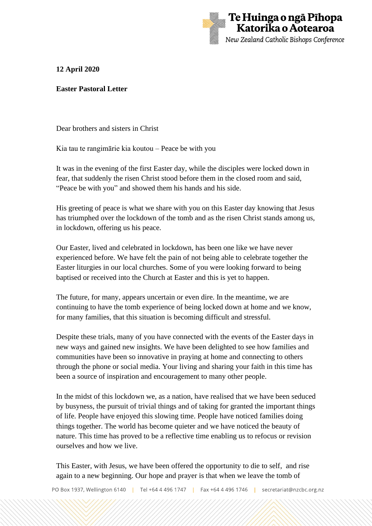

## **12 April 2020**

## **Easter Pastoral Letter**

Dear brothers and sisters in Christ

Kia tau te rangimārie kia koutou – Peace be with you

It was in the evening of the first Easter day, while the disciples were locked down in fear, that suddenly the risen Christ stood before them in the closed room and said, "Peace be with you" and showed them his hands and his side.

His greeting of peace is what we share with you on this Easter day knowing that Jesus has triumphed over the lockdown of the tomb and as the risen Christ stands among us, in lockdown, offering us his peace.

Our Easter, lived and celebrated in lockdown, has been one like we have never experienced before. We have felt the pain of not being able to celebrate together the Easter liturgies in our local churches. Some of you were looking forward to being baptised or received into the Church at Easter and this is yet to happen.

The future, for many, appears uncertain or even dire. In the meantime, we are continuing to have the tomb experience of being locked down at home and we know, for many families, that this situation is becoming difficult and stressful.

Despite these trials, many of you have connected with the events of the Easter days in new ways and gained new insights. We have been delighted to see how families and communities have been so innovative in praying at home and connecting to others through the phone or social media. Your living and sharing your faith in this time has been a source of inspiration and encouragement to many other people.

In the midst of this lockdown we, as a nation, have realised that we have been seduced by busyness, the pursuit of trivial things and of taking for granted the important things of life. People have enjoyed this slowing time. People have noticed families doing things together. The world has become quieter and we have noticed the beauty of nature. This time has proved to be a reflective time enabling us to refocus or revision ourselves and how we live.

This Easter, with Jesus, we have been offered the opportunity to die to self, and rise again to a new beginning. Our hope and prayer is that when we leave the tomb of